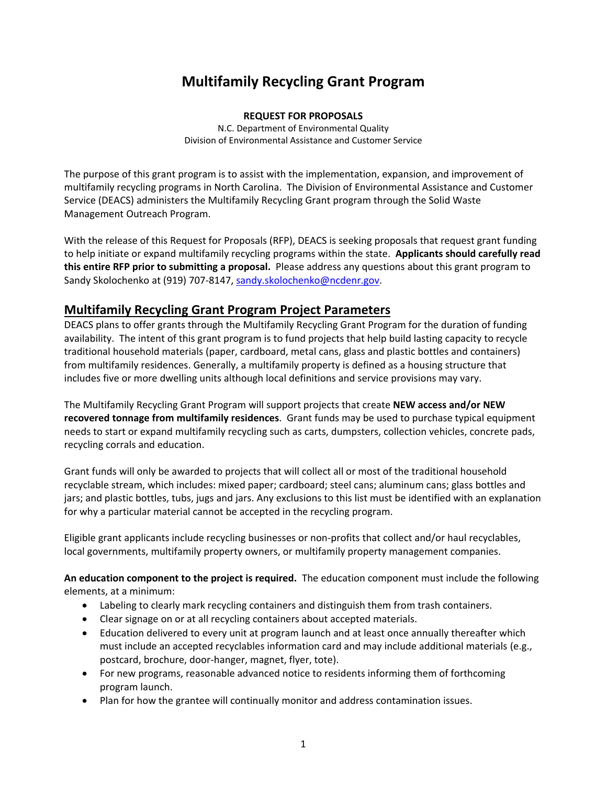# **Multifamily Recycling Grant Program**

#### **REQUEST FOR PROPOSALS**

N.C. Department of Environmental Quality Division of Environmental Assistance and Customer Service

The purpose of this grant program is to assist with the implementation, expansion, and improvement of multifamily recycling programs in North Carolina. The Division of Environmental Assistance and Customer Service (DEACS) administers the Multifamily Recycling Grant program through the Solid Waste Management Outreach Program.

With the release of this Request for Proposals (RFP), DEACS is seeking proposals that request grant funding to help initiate or expand multifamily recycling programs within the state. **Applicants should carefully read this entire RFP prior to submitting a proposal.** Please address any questions about this grant program to Sandy Skolochenko at (919) 707-8147, [sandy.skolochenko@ncdenr.gov.](mailto:sandy.skolochenko@ncdenr.gov)

### **Multifamily Recycling Grant Program Project Parameters**

DEACS plans to offer grants through the Multifamily Recycling Grant Program for the duration of funding availability. The intent of this grant program is to fund projects that help build lasting capacity to recycle traditional household materials (paper, cardboard, metal cans, glass and plastic bottles and containers) from multifamily residences. Generally, a multifamily property is defined as a housing structure that includes five or more dwelling units although local definitions and service provisions may vary.

The Multifamily Recycling Grant Program will support projects that create **NEW access and/or NEW recovered tonnage from multifamily residences**. Grant funds may be used to purchase typical equipment needs to start or expand multifamily recycling such as carts, dumpsters, collection vehicles, concrete pads, recycling corrals and education.

Grant funds will only be awarded to projects that will collect all or most of the traditional household recyclable stream, which includes: mixed paper; cardboard; steel cans; aluminum cans; glass bottles and jars; and plastic bottles, tubs, jugs and jars. Any exclusions to this list must be identified with an explanation for why a particular material cannot be accepted in the recycling program.

Eligible grant applicants include recycling businesses or non-profits that collect and/or haul recyclables, local governments, multifamily property owners, or multifamily property management companies.

**An education component to the project is required.** The education component must include the following elements, at a minimum:

- Labeling to clearly mark recycling containers and distinguish them from trash containers.
- Clear signage on or at all recycling containers about accepted materials.
- Education delivered to every unit at program launch and at least once annually thereafter which must include an accepted recyclables information card and may include additional materials (e.g., postcard, brochure, door-hanger, magnet, flyer, tote).
- For new programs, reasonable advanced notice to residents informing them of forthcoming program launch.
- Plan for how the grantee will continually monitor and address contamination issues.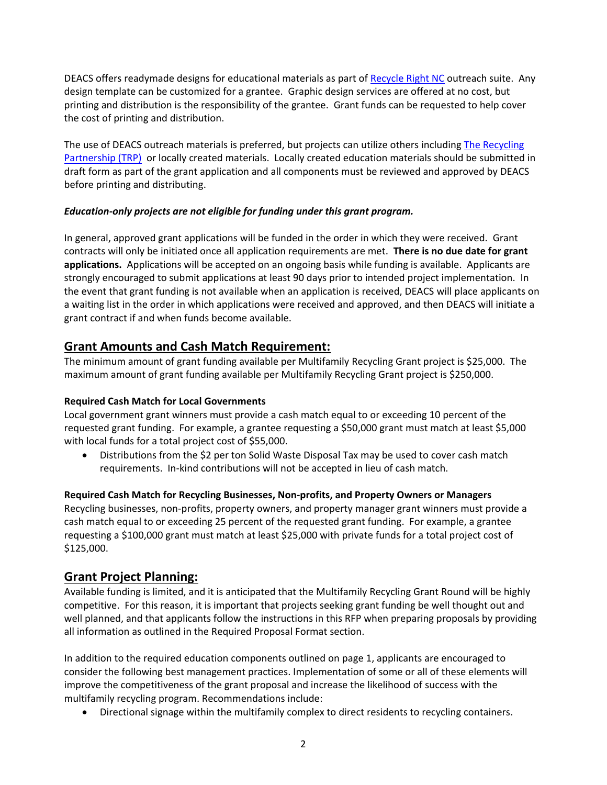DEACS offers readymade designs for educational materials as part o[f Recycle Right NC](https://deq.nc.gov/about/divisions/environmental-assistance-and-customer-service/recycling/general-recycling-information/customized-outreach-materials) outreach suite. Any design template can be customized for a grantee. Graphic design services are offered at no cost, but printing and distribution is the responsibility of the grantee. Grant funds can be requested to help cover the cost of printing and distribution.

The use of DEACS outreach materials is preferred, but projects can utilize others including [The Recycling](https://recyclingpartnership.org/multifamily/)  [Partnership \(TRP\)](https://recyclingpartnership.org/multifamily/) or locally created materials. Locally created education materials should be submitted in draft form as part of the grant application and all components must be reviewed and approved by DEACS before printing and distributing.

#### *Education-only projects are not eligible for funding under this grant program.*

In general, approved grant applications will be funded in the order in which they were received. Grant contracts will only be initiated once all application requirements are met. **There is no due date for grant applications.** Applications will be accepted on an ongoing basis while funding is available. Applicants are strongly encouraged to submit applications at least 90 days prior to intended project implementation. In the event that grant funding is not available when an application is received, DEACS will place applicants on a waiting list in the order in which applications were received and approved, and then DEACS will initiate a grant contract if and when funds become available.

### **Grant Amounts and Cash Match Requirement:**

The minimum amount of grant funding available per Multifamily Recycling Grant project is \$25,000. The maximum amount of grant funding available per Multifamily Recycling Grant project is \$250,000.

#### **Required Cash Match for Local Governments**

Local government grant winners must provide a cash match equal to or exceeding 10 percent of the requested grant funding. For example, a grantee requesting a \$50,000 grant must match at least \$5,000 with local funds for a total project cost of \$55,000.

• Distributions from the \$2 per ton Solid Waste Disposal Tax may be used to cover cash match requirements. In-kind contributions will not be accepted in lieu of cash match.

#### **Required Cash Match for Recycling Businesses, Non-profits, and Property Owners or Managers**

Recycling businesses, non-profits, property owners, and property manager grant winners must provide a cash match equal to or exceeding 25 percent of the requested grant funding. For example, a grantee requesting a \$100,000 grant must match at least \$25,000 with private funds for a total project cost of \$125,000.

#### **Grant Project Planning:**

Available funding is limited, and it is anticipated that the Multifamily Recycling Grant Round will be highly competitive. For this reason, it is important that projects seeking grant funding be well thought out and well planned, and that applicants follow the instructions in this RFP when preparing proposals by providing all information as outlined in the Required Proposal Format section.

In addition to the required education components outlined on page 1, applicants are encouraged to consider the following best management practices. Implementation of some or all of these elements will improve the competitiveness of the grant proposal and increase the likelihood of success with the multifamily recycling program. Recommendations include:

• Directional signage within the multifamily complex to direct residents to recycling containers.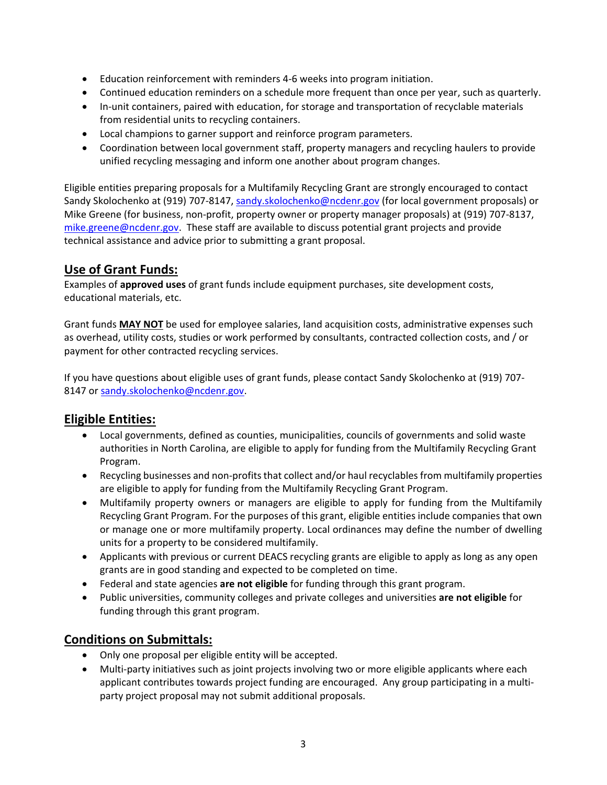- Education reinforcement with reminders 4-6 weeks into program initiation.
- Continued education reminders on a schedule more frequent than once per year, such as quarterly.
- In-unit containers, paired with education, for storage and transportation of recyclable materials from residential units to recycling containers.
- Local champions to garner support and reinforce program parameters.
- Coordination between local government staff, property managers and recycling haulers to provide unified recycling messaging and inform one another about program changes.

Eligible entities preparing proposals for a Multifamily Recycling Grant are strongly encouraged to contact Sandy Skolochenko at (919) 707-8147, [sandy.skolochenko@ncdenr.gov](mailto:sandy.skolochenko@ncdenr.gov) (for local government proposals) or Mike Greene (for business, non-profit, property owner or property manager proposals) at (919) 707-8137, [mike.greene@ncdenr.gov.](mailto:mike.greene@ncdenr.gov) These staff are available to discuss potential grant projects and provide technical assistance and advice prior to submitting a grant proposal.

# **Use of Grant Funds:**

Examples of **approved uses** of grant funds include equipment purchases, site development costs, educational materials, etc.

Grant funds **MAY NOT** be used for employee salaries, land acquisition costs, administrative expenses such as overhead, utility costs, studies or work performed by consultants, contracted collection costs, and / or payment for other contracted recycling services.

If you have questions about eligible uses of grant funds, please contact Sandy Skolochenko at (919) 707 8147 o[r sandy.skolochenko@ncdenr.gov.](mailto:sandy.skolochenko@ncdenr.gov)

# **Eligible Entities:**

- Local governments, defined as counties, municipalities, councils of governments and solid waste authorities in North Carolina, are eligible to apply for funding from the Multifamily Recycling Grant Program.
- Recycling businesses and non-profits that collect and/or haul recyclables from multifamily properties are eligible to apply for funding from the Multifamily Recycling Grant Program.
- Multifamily property owners or managers are eligible to apply for funding from the Multifamily Recycling Grant Program. For the purposes of this grant, eligible entities include companies that own or manage one or more multifamily property. Local ordinances may define the number of dwelling units for a property to be considered multifamily.
- Applicants with previous or current DEACS recycling grants are eligible to apply as long as any open grants are in good standing and expected to be completed on time.
- Federal and state agencies **are not eligible** for funding through this grant program.
- Public universities, community colleges and private colleges and universities **are not eligible** for funding through this grant program.

# **Conditions on Submittals:**

- Only one proposal per eligible entity will be accepted.
- Multi-party initiatives such as joint projects involving two or more eligible applicants where each applicant contributes towards project funding are encouraged. Any group participating in a multiparty project proposal may not submit additional proposals.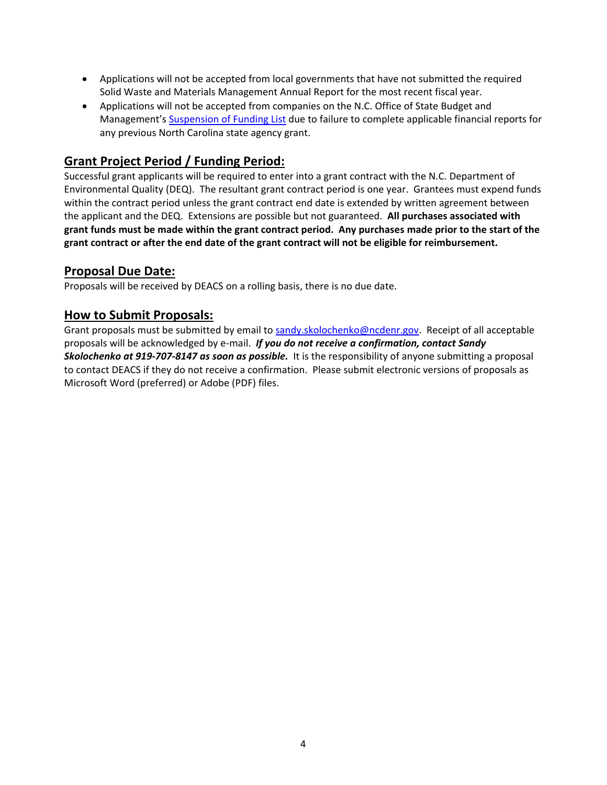- Applications will not be accepted from local governments that have not submitted the required Solid Waste and Materials Management Annual Report for the most recent fiscal year.
- Applications will not be accepted from companies on the N.C. Office of State Budget and Management's [Suspension of Funding List](https://www.osbm.nc.gov/stewardship-services/grants/suspension-funding-memos) due to failure to complete applicable financial reports for any previous North Carolina state agency grant.

### **Grant Project Period / Funding Period:**

Successful grant applicants will be required to enter into a grant contract with the N.C. Department of Environmental Quality (DEQ). The resultant grant contract period is one year. Grantees must expend funds within the contract period unless the grant contract end date is extended by written agreement between the applicant and the DEQ. Extensions are possible but not guaranteed. **All purchases associated with grant funds must be made within the grant contract period. Any purchases made prior to the start of the grant contract or after the end date of the grant contract will not be eligible for reimbursement.**

### **Proposal Due Date:**

Proposals will be received by DEACS on a rolling basis, there is no due date.

### **How to Submit Proposals:**

Grant proposals must be submitted by email to [sandy.skolochenko@ncdenr.gov.](mailto:sandy.skolochenko@ncdenr.gov) Receipt of all acceptable proposals will be acknowledged by e-mail. *If you do not receive a confirmation, contact Sandy Skolochenko at 919-707-8147 as soon as possible.* It is the responsibility of anyone submitting a proposal to contact DEACS if they do not receive a confirmation. Please submit electronic versions of proposals as Microsoft Word (preferred) or Adobe (PDF) files.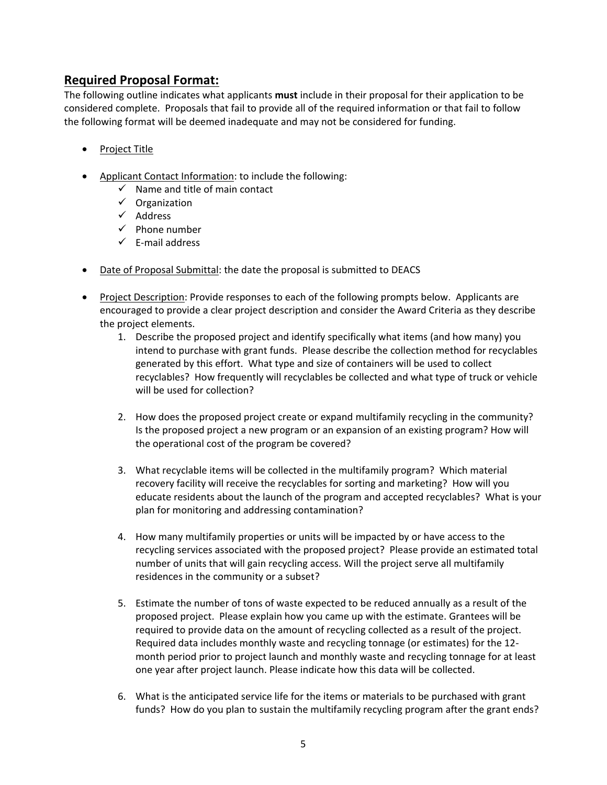### **Required Proposal Format:**

The following outline indicates what applicants **must** include in their proposal for their application to be considered complete. Proposals that fail to provide all of the required information or that fail to follow the following format will be deemed inadequate and may not be considered for funding.

- Project Title
- Applicant Contact Information: to include the following:
	- $\checkmark$  Name and title of main contact
	- ✓ Organization
	- ✓ Address
	- $\checkmark$  Phone number
	- $\checkmark$  F-mail address
- Date of Proposal Submittal: the date the proposal is submitted to DEACS
- Project Description: Provide responses to each of the following prompts below. Applicants are encouraged to provide a clear project description and consider the Award Criteria as they describe the project elements.
	- 1. Describe the proposed project and identify specifically what items (and how many) you intend to purchase with grant funds. Please describe the collection method for recyclables generated by this effort. What type and size of containers will be used to collect recyclables? How frequently will recyclables be collected and what type of truck or vehicle will be used for collection?
	- 2. How does the proposed project create or expand multifamily recycling in the community? Is the proposed project a new program or an expansion of an existing program? How will the operational cost of the program be covered?
	- 3. What recyclable items will be collected in the multifamily program? Which material recovery facility will receive the recyclables for sorting and marketing? How will you educate residents about the launch of the program and accepted recyclables? What is your plan for monitoring and addressing contamination?
	- 4. How many multifamily properties or units will be impacted by or have access to the recycling services associated with the proposed project? Please provide an estimated total number of units that will gain recycling access. Will the project serve all multifamily residences in the community or a subset?
	- 5. Estimate the number of tons of waste expected to be reduced annually as a result of the proposed project. Please explain how you came up with the estimate. Grantees will be required to provide data on the amount of recycling collected as a result of the project. Required data includes monthly waste and recycling tonnage (or estimates) for the 12 month period prior to project launch and monthly waste and recycling tonnage for at least one year after project launch. Please indicate how this data will be collected.
	- 6. What is the anticipated service life for the items or materials to be purchased with grant funds? How do you plan to sustain the multifamily recycling program after the grant ends?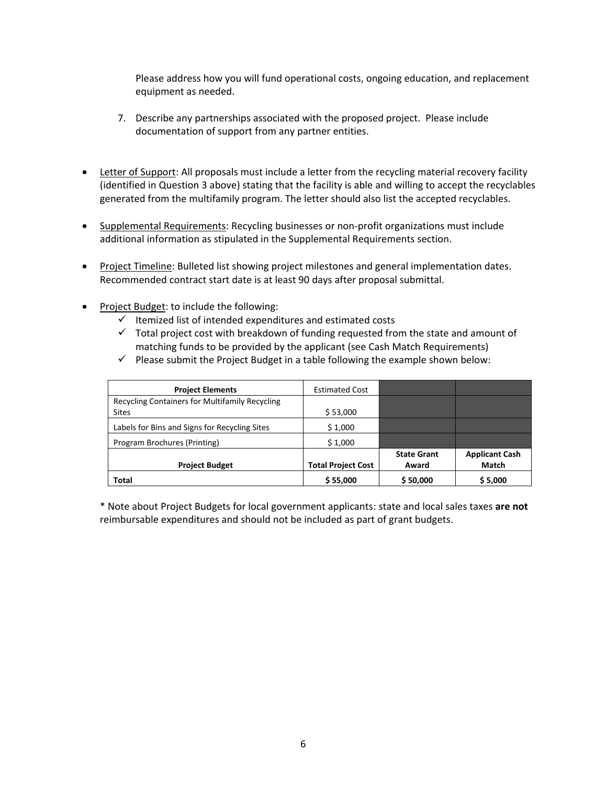Please address how you will fund operational costs, ongoing education, and replacement equipment as needed.

- 7. Describe any partnerships associated with the proposed project. Please include documentation of support from any partner entities.
- Letter of Support: All proposals must include a letter from the recycling material recovery facility (identified in Question 3 above) stating that the facility is able and willing to accept the recyclables generated from the multifamily program. The letter should also list the accepted recyclables.
- Supplemental Requirements: Recycling businesses or non-profit organizations must include additional information as stipulated in the Supplemental Requirements section.
- Project Timeline: Bulleted list showing project milestones and general implementation dates. Recommended contract start date is at least 90 days after proposal submittal.
- Project Budget: to include the following:
	- $\checkmark$  Itemized list of intended expenditures and estimated costs
	- $\checkmark$  Total project cost with breakdown of funding requested from the state and amount of matching funds to be provided by the applicant (see Cash Match Requirements)

| <b>Project Elements</b>                                        | <b>Estimated Cost</b>     |                             |                                       |
|----------------------------------------------------------------|---------------------------|-----------------------------|---------------------------------------|
| Recycling Containers for Multifamily Recycling<br><b>Sites</b> | \$53,000                  |                             |                                       |
| Labels for Bins and Signs for Recycling Sites                  | \$1,000                   |                             |                                       |
| Program Brochures (Printing)                                   | \$1,000                   |                             |                                       |
| <b>Project Budget</b>                                          | <b>Total Project Cost</b> | <b>State Grant</b><br>Award | <b>Applicant Cash</b><br><b>Match</b> |
| Total                                                          | \$55,000                  | \$50,000                    | \$5,000                               |

 $\checkmark$  Please submit the Project Budget in a table following the example shown below:

\* Note about Project Budgets for local government applicants: state and local sales taxes **are not** reimbursable expenditures and should not be included as part of grant budgets.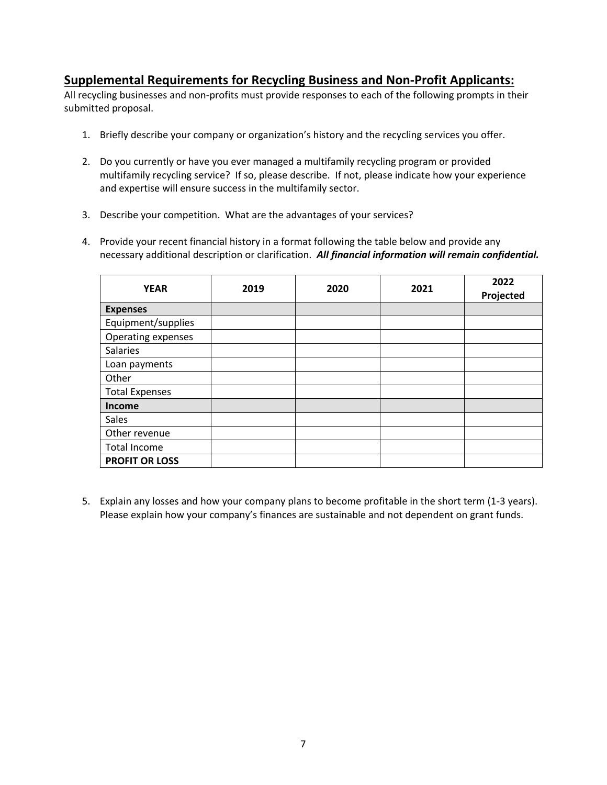### **Supplemental Requirements for Recycling Business and Non-Profit Applicants:**

All recycling businesses and non-profits must provide responses to each of the following prompts in their submitted proposal.

- 1. Briefly describe your company or organization's history and the recycling services you offer.
- 2. Do you currently or have you ever managed a multifamily recycling program or provided multifamily recycling service? If so, please describe. If not, please indicate how your experience and expertise will ensure success in the multifamily sector.
- 3. Describe your competition. What are the advantages of your services?
- 4. Provide your recent financial history in a format following the table below and provide any necessary additional description or clarification. *All financial information will remain confidential.*

| <b>YEAR</b>               | 2019 | 2020 | 2021 | 2022<br>Projected |
|---------------------------|------|------|------|-------------------|
| <b>Expenses</b>           |      |      |      |                   |
| Equipment/supplies        |      |      |      |                   |
| <b>Operating expenses</b> |      |      |      |                   |
| Salaries                  |      |      |      |                   |
| Loan payments             |      |      |      |                   |
| Other                     |      |      |      |                   |
| <b>Total Expenses</b>     |      |      |      |                   |
| <b>Income</b>             |      |      |      |                   |
| Sales                     |      |      |      |                   |
| Other revenue             |      |      |      |                   |
| Total Income              |      |      |      |                   |
| <b>PROFIT OR LOSS</b>     |      |      |      |                   |

5. Explain any losses and how your company plans to become profitable in the short term (1-3 years). Please explain how your company's finances are sustainable and not dependent on grant funds.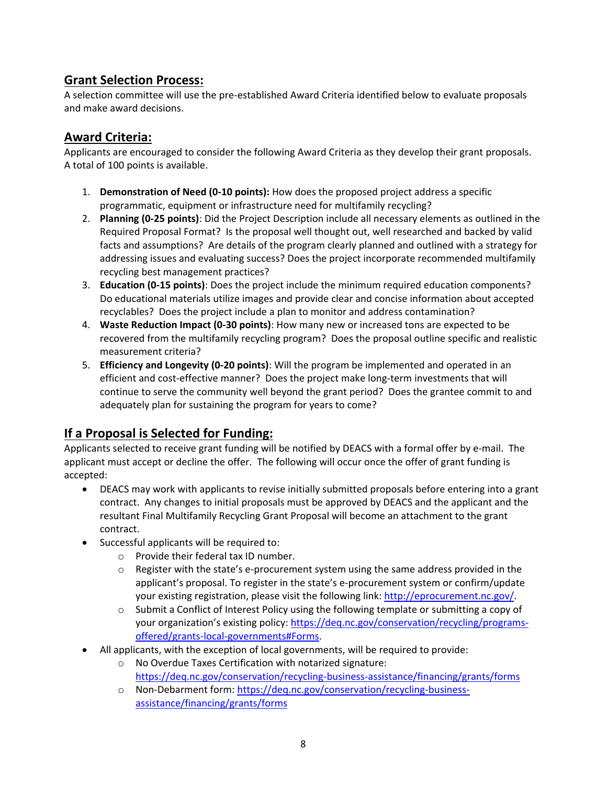# **Grant Selection Process:**

A selection committee will use the pre-established Award Criteria identified below to evaluate proposals and make award decisions.

### **Award Criteria:**

Applicants are encouraged to consider the following Award Criteria as they develop their grant proposals. A total of 100 points is available.

- 1. **Demonstration of Need (0-10 points):** How does the proposed project address a specific programmatic, equipment or infrastructure need for multifamily recycling?
- 2. **Planning (0-25 points)**: Did the Project Description include all necessary elements as outlined in the Required Proposal Format? Is the proposal well thought out, well researched and backed by valid facts and assumptions? Are details of the program clearly planned and outlined with a strategy for addressing issues and evaluating success? Does the project incorporate recommended multifamily recycling best management practices?
- 3. **Education (0-15 points)**: Does the project include the minimum required education components? Do educational materials utilize images and provide clear and concise information about accepted recyclables? Does the project include a plan to monitor and address contamination?
- 4. **Waste Reduction Impact (0-30 points)**: How many new or increased tons are expected to be recovered from the multifamily recycling program? Does the proposal outline specific and realistic measurement criteria?
- 5. **Efficiency and Longevity (0-20 points)**: Will the program be implemented and operated in an efficient and cost-effective manner? Does the project make long-term investments that will continue to serve the community well beyond the grant period? Does the grantee commit to and adequately plan for sustaining the program for years to come?

# **If a Proposal is Selected for Funding:**

Applicants selected to receive grant funding will be notified by DEACS with a formal offer by e-mail. The applicant must accept or decline the offer. The following will occur once the offer of grant funding is accepted:

- DEACS may work with applicants to revise initially submitted proposals before entering into a grant contract. Any changes to initial proposals must be approved by DEACS and the applicant and the resultant Final Multifamily Recycling Grant Proposal will become an attachment to the grant contract.
- Successful applicants will be required to:
	- o Provide their federal tax ID number.
	- $\circ$  Register with the state's e-procurement system using the same address provided in the applicant's proposal. To register in the state's e-procurement system or confirm/update your existing registration, please visit the following link: http://eprocurement.nc.gov/.
	- $\circ$  Submit a Conflict of Interest Policy using the following template or submitting a copy of your organization's existing policy: https://deq.nc.gov/conservation/recycling/programsoffered/grants-local-governments#Forms.
- All applicants, with the exception of local governments, will be required to provide:
	- o No Overdue Taxes Certification with notarized signature: https://deq.nc.gov/conservation/recycling-business-assistance/financing/grants/forms
	- o Non-Debarment form: https://deq.nc.gov/conservation/recycling-businessassistance/financing/grants/forms